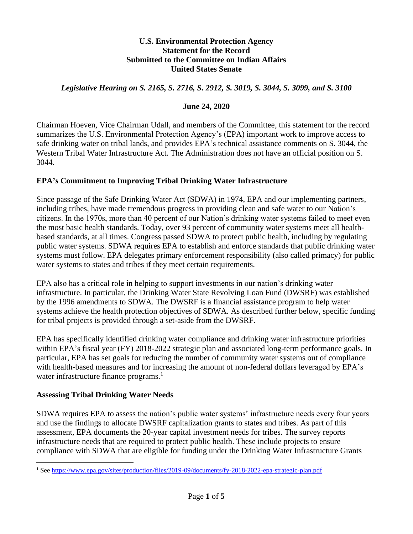#### **U.S. Environmental Protection Agency Statement for the Record Submitted to the Committee on Indian Affairs United States Senate**

### *Legislative Hearing on S. 2165, S. 2716, S. 2912, S. 3019, S. 3044, S. 3099, and S. 3100*

### **June 24, 2020**

Chairman Hoeven, Vice Chairman Udall, and members of the Committee, this statement for the record summarizes the U.S. Environmental Protection Agency's (EPA) important work to improve access to safe drinking water on tribal lands, and provides EPA's technical assistance comments on S. 3044, the Western Tribal Water Infrastructure Act. The Administration does not have an official position on S. 3044.

### **EPA's Commitment to Improving Tribal Drinking Water Infrastructure**

Since passage of the Safe Drinking Water Act (SDWA) in 1974, EPA and our implementing partners, including tribes, have made tremendous progress in providing clean and safe water to our Nation's citizens. In the 1970s, more than 40 percent of our Nation's drinking water systems failed to meet even the most basic health standards. Today, over 93 percent of community water systems meet all healthbased standards, at all times. Congress passed SDWA to protect public health, including by regulating public water systems. SDWA requires EPA to establish and enforce standards that public drinking water systems must follow. EPA delegates primary enforcement responsibility (also called primacy) for public water systems to states and tribes if they meet certain requirements.

EPA also has a critical role in helping to support investments in our nation's drinking water infrastructure. In particular, the Drinking Water State Revolving Loan Fund (DWSRF) was established by the 1996 amendments to SDWA. The DWSRF is a financial assistance program to help water systems achieve the health protection objectives of SDWA. As described further below, specific funding for tribal projects is provided through a set-aside from the DWSRF.

EPA has specifically identified drinking water compliance and drinking water infrastructure priorities within EPA's fiscal year (FY) 2018-2022 strategic plan and associated long-term performance goals. In particular, EPA has set goals for reducing the number of community water systems out of compliance with health-based measures and for increasing the amount of non-federal dollars leveraged by EPA's water infrastructure finance programs.<sup>1</sup>

### **Assessing Tribal Drinking Water Needs**

SDWA requires EPA to assess the nation's public water systems' infrastructure needs every four years and use the findings to allocate DWSRF capitalization grants to states and tribes. As part of this assessment, EPA documents the 20-year capital investment needs for tribes. The survey reports infrastructure needs that are required to protect public health. These include projects to ensure compliance with SDWA that are eligible for funding under the Drinking Water Infrastructure Grants

<sup>1</sup> Se[e https://www.epa.gov/sites/production/files/2019-09/documents/fy-2018-2022-epa-strategic-plan.pdf](https://www.epa.gov/sites/production/files/2019-09/documents/fy-2018-2022-epa-strategic-plan.pdf)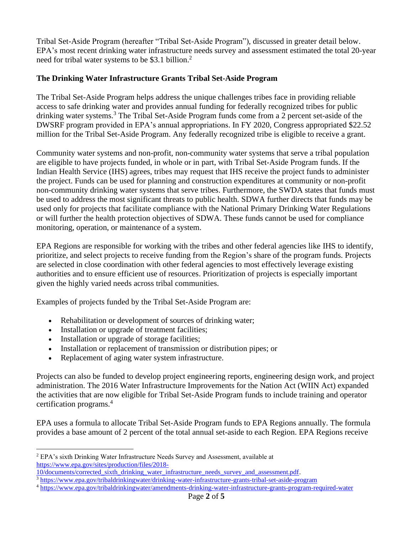Tribal Set-Aside Program (hereafter "Tribal Set-Aside Program"), discussed in greater detail below. EPA's most recent drinking water infrastructure needs survey and assessment estimated the total 20-year need for tribal water systems to be \$3.1 billion.<sup>2</sup>

## **The Drinking Water Infrastructure Grants Tribal Set-Aside Program**

The Tribal Set-Aside Program helps address the unique challenges tribes face in providing reliable access to safe drinking water and provides annual funding for federally recognized tribes for public drinking water systems.<sup>3</sup> The Tribal Set-Aside Program funds come from a 2 percent set-aside of the DWSRF program provided in EPA's annual appropriations. In FY 2020, Congress appropriated \$22.52 million for the Tribal Set-Aside Program. Any federally recognized tribe is eligible to receive a grant.

Community water systems and non-profit, non-community water systems that serve a tribal population are eligible to have projects funded, in whole or in part, with Tribal Set-Aside Program funds. If the Indian Health Service (IHS) agrees, tribes may request that IHS receive the project funds to administer the project. Funds can be used for planning and construction expenditures at community or non-profit non-community drinking water systems that serve tribes. Furthermore, the SWDA states that funds must be used to address the most significant threats to public health. SDWA further directs that funds may be used only for projects that facilitate compliance with the National Primary Drinking Water Regulations or will further the health protection objectives of SDWA. These funds cannot be used for compliance monitoring, operation, or maintenance of a system.

EPA Regions are responsible for working with the tribes and other federal agencies like IHS to identify, prioritize, and select projects to receive funding from the Region's share of the program funds. Projects are selected in close coordination with other federal agencies to most effectively leverage existing authorities and to ensure efficient use of resources. Prioritization of projects is especially important given the highly varied needs across tribal communities.

Examples of projects funded by the Tribal Set-Aside Program are:

- Rehabilitation or development of sources of drinking water;
- Installation or upgrade of treatment facilities;
- Installation or upgrade of storage facilities;
- Installation or replacement of transmission or distribution pipes; or
- Replacement of aging water system infrastructure.

Projects can also be funded to develop project engineering reports, engineering design work, and project administration. The 2016 Water Infrastructure Improvements for the Nation Act (WIIN Act) expanded the activities that are now eligible for Tribal Set-Aside Program funds to include training and operator certification programs.<sup>4</sup>

EPA uses a formula to allocate Tribal Set-Aside Program funds to EPA Regions annually. The formula provides a base amount of 2 percent of the total annual set-aside to each Region. EPA Regions receive

<sup>3</sup> <https://www.epa.gov/tribaldrinkingwater/drinking-water-infrastructure-grants-tribal-set-aside-program>

<sup>2</sup> EPA's sixth Drinking Water Infrastructure Needs Survey and Assessment, available at [https://www.epa.gov/sites/production/files/2018-](https://www.epa.gov/sites/production/files/2018-10/documents/corrected_sixth_drinking_water_infrastructure_needs_survey_and_assessment.pdf)

[<sup>10/</sup>documents/corrected\\_sixth\\_drinking\\_water\\_infrastructure\\_needs\\_survey\\_and\\_assessment.pdf.](https://www.epa.gov/sites/production/files/2018-10/documents/corrected_sixth_drinking_water_infrastructure_needs_survey_and_assessment.pdf)

<sup>&</sup>lt;sup>4</sup> <https://www.epa.gov/tribaldrinkingwater/amendments-drinking-water-infrastructure-grants-program-required-water>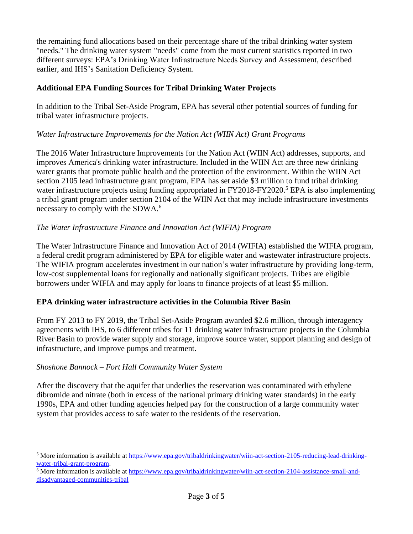the remaining fund allocations based on their percentage share of the tribal drinking water system "needs." The drinking water system "needs" come from the most current statistics reported in two different surveys: EPA's Drinking Water Infrastructure Needs Survey and Assessment, described earlier, and IHS's Sanitation Deficiency System.

## **Additional EPA Funding Sources for Tribal Drinking Water Projects**

In addition to the Tribal Set-Aside Program, EPA has several other potential sources of funding for tribal water infrastructure projects.

### *Water Infrastructure Improvements for the Nation Act (WIIN Act) Grant Programs*

The 2016 Water Infrastructure Improvements for the Nation Act (WIIN Act) addresses, supports, and improves America's drinking water infrastructure. Included in the WIIN Act are three new drinking water grants that promote public health and the protection of the environment. Within the WIIN Act section 2105 lead infrastructure grant program, EPA has set aside \$3 million to fund tribal drinking water infrastructure projects using funding appropriated in FY2018-FY2020.<sup>5</sup> EPA is also implementing a tribal grant program under section 2104 of the WIIN Act that may include infrastructure investments necessary to comply with the SDWA.<sup>6</sup>

### *The Water Infrastructure Finance and Innovation Act (WIFIA) Program*

The Water Infrastructure Finance and Innovation Act of 2014 (WIFIA) established the WIFIA program, a federal credit program administered by EPA for eligible water and wastewater infrastructure projects. The WIFIA program accelerates investment in our nation's water infrastructure by providing long-term, low-cost supplemental loans for regionally and nationally significant projects. Tribes are eligible borrowers under WIFIA and may apply for loans to finance projects of at least \$5 million.

### **EPA drinking water infrastructure activities in the Columbia River Basin**

From FY 2013 to FY 2019, the Tribal Set-Aside Program awarded \$2.6 million, through interagency agreements with IHS, to 6 different tribes for 11 drinking water infrastructure projects in the Columbia River Basin to provide water supply and storage, improve source water, support planning and design of infrastructure, and improve pumps and treatment.

### *Shoshone Bannock – Fort Hall Community Water System*

After the discovery that the aquifer that underlies the reservation was contaminated with ethylene dibromide and nitrate (both in excess of the national primary drinking water standards) in the early 1990s, EPA and other funding agencies helped pay for the construction of a large community water system that provides access to safe water to the residents of the reservation.

<sup>5</sup> More information is available at [https://www.epa.gov/tribaldrinkingwater/wiin-act-section-2105-reducing-lead-drinking](https://www.epa.gov/tribaldrinkingwater/wiin-act-section-2105-reducing-lead-drinking-water-tribal-grant-program)[water-tribal-grant-program.](https://www.epa.gov/tribaldrinkingwater/wiin-act-section-2105-reducing-lead-drinking-water-tribal-grant-program)

<sup>&</sup>lt;sup>6</sup> More information is available at [https://www.epa.gov/tribaldrinkingwater/wiin-act-section-2104-assistance-small-and](https://www.epa.gov/tribaldrinkingwater/wiin-act-section-2104-assistance-small-and-disadvantaged-communities-tribal)[disadvantaged-communities-tribal](https://www.epa.gov/tribaldrinkingwater/wiin-act-section-2104-assistance-small-and-disadvantaged-communities-tribal)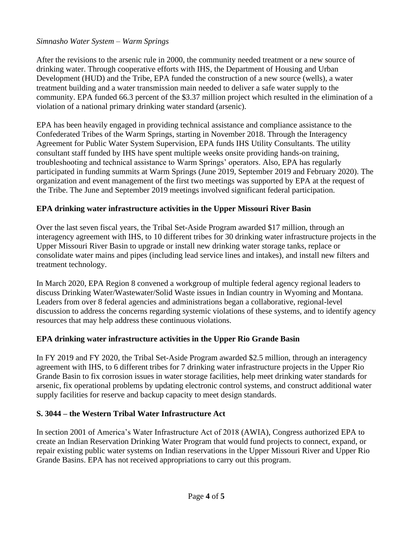### *Simnasho Water System – Warm Springs*

After the revisions to the arsenic rule in 2000, the community needed treatment or a new source of drinking water. Through cooperative efforts with IHS, the Department of Housing and Urban Development (HUD) and the Tribe, EPA funded the construction of a new source (wells), a water treatment building and a water transmission main needed to deliver a safe water supply to the community. EPA funded 66.3 percent of the \$3.37 million project which resulted in the elimination of a violation of a national primary drinking water standard (arsenic).

EPA has been heavily engaged in providing technical assistance and compliance assistance to the Confederated Tribes of the Warm Springs, starting in November 2018. Through the Interagency Agreement for Public Water System Supervision, EPA funds IHS Utility Consultants. The utility consultant staff funded by IHS have spent multiple weeks onsite providing hands-on training, troubleshooting and technical assistance to Warm Springs' operators. Also, EPA has regularly participated in funding summits at Warm Springs (June 2019, September 2019 and February 2020). The organization and event management of the first two meetings was supported by EPA at the request of the Tribe. The June and September 2019 meetings involved significant federal participation.

# **EPA drinking water infrastructure activities in the Upper Missouri River Basin**

Over the last seven fiscal years, the Tribal Set-Aside Program awarded \$17 million, through an interagency agreement with IHS, to 10 different tribes for 30 drinking water infrastructure projects in the Upper Missouri River Basin to upgrade or install new drinking water storage tanks, replace or consolidate water mains and pipes (including lead service lines and intakes), and install new filters and treatment technology.

In March 2020, EPA Region 8 convened a workgroup of multiple federal agency regional leaders to discuss Drinking Water/Wastewater/Solid Waste issues in Indian country in Wyoming and Montana. Leaders from over 8 federal agencies and administrations began a collaborative, regional-level discussion to address the concerns regarding systemic violations of these systems, and to identify agency resources that may help address these continuous violations.

# **EPA drinking water infrastructure activities in the Upper Rio Grande Basin**

In FY 2019 and FY 2020, the Tribal Set-Aside Program awarded \$2.5 million, through an interagency agreement with IHS, to 6 different tribes for 7 drinking water infrastructure projects in the Upper Rio Grande Basin to fix corrosion issues in water storage facilities, help meet drinking water standards for arsenic, fix operational problems by updating electronic control systems, and construct additional water supply facilities for reserve and backup capacity to meet design standards.

# **S. 3044 – the Western Tribal Water Infrastructure Act**

In section 2001 of America's Water Infrastructure Act of 2018 (AWIA), Congress authorized EPA to create an Indian Reservation Drinking Water Program that would fund projects to connect, expand, or repair existing public water systems on Indian reservations in the Upper Missouri River and Upper Rio Grande Basins. EPA has not received appropriations to carry out this program.